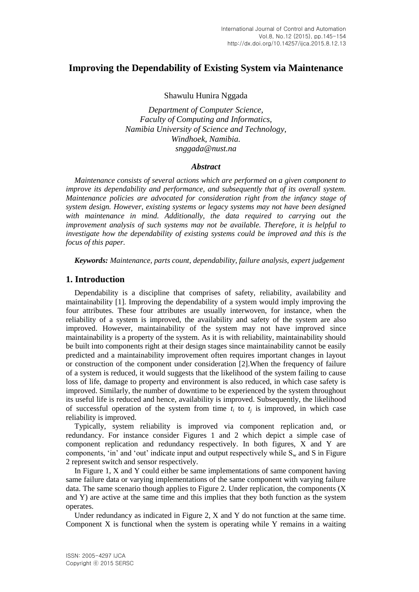# **Improving the Dependability of Existing System via Maintenance**

Shawulu Hunira Nggada

*Department of Computer Science, Faculty of Computing and Informatics, Namibia University of Science and Technology, Windhoek, Namibia. snggada@nust.na*

### *Abstract*

*Maintenance consists of several actions which are performed on a given component to improve its dependability and performance, and subsequently that of its overall system. Maintenance policies are advocated for consideration right from the infancy stage of system design. However, existing systems or legacy systems may not have been designed with maintenance in mind. Additionally, the data required to carrying out the improvement analysis of such systems may not be available. Therefore, it is helpful to investigate how the dependability of existing systems could be improved and this is the focus of this paper.*

*Keywords: Maintenance, parts count, dependability, failure analysis, expert judgement*

## **1. Introduction**

Dependability is a discipline that comprises of safety, reliability, availability and maintainability [1]. Improving the dependability of a system would imply improving the four attributes. These four attributes are usually interwoven, for instance, when the reliability of a system is improved, the availability and safety of the system are also improved. However, maintainability of the system may not have improved since maintainability is a property of the system. As it is with reliability, maintainability should be built into components right at their design stages since maintainability cannot be easily predicted and a maintainability improvement often requires important changes in layout or construction of the component under consideration [2].When the frequency of failure of a system is reduced, it would suggests that the likelihood of the system failing to cause loss of life, damage to property and environment is also reduced, in which case safety is improved. Similarly, the number of downtime to be experienced by the system throughout its useful life is reduced and hence, availability is improved. Subsequently, the likelihood of successful operation of the system from time  $t_i$  to  $t_j$  is improved, in which case reliability is improved.

Typically, system reliability is improved via component replication and, or redundancy. For instance consider Figures 1 and 2 which depict a simple case of component replication and redundancy respectively. In both figures, X and Y are components, 'in' and 'out' indicate input and output respectively while  $S_w$  and S in Figure 2 represent switch and sensor respectively.

In Figure 1, X and Y could either be same implementations of same component having same failure data or varying implementations of the same component with varying failure data. The same scenario though applies to Figure 2. Under replication, the components  $(X)$ and Y) are active at the same time and this implies that they both function as the system operates.

Under redundancy as indicated in Figure 2, X and Y do not function at the same time. Component X is functional when the system is operating while Y remains in a waiting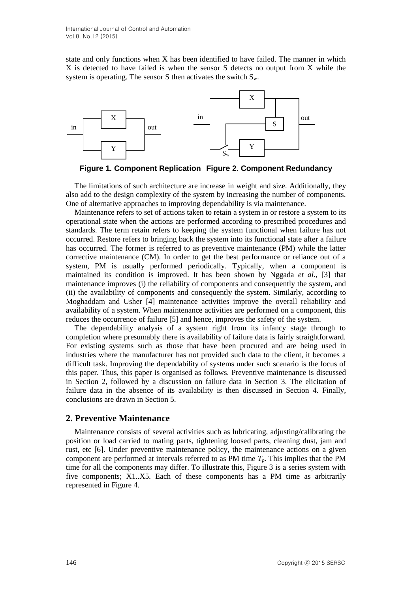state and only functions when X has been identified to have failed. The manner in which X is detected to have failed is when the sensor S detects no output from X while the system is operating. The sensor S then activates the switch  $S_w$ .



**Figure 1. Component Replication Figure 2. Component Redundancy**

The limitations of such architecture are increase in weight and size. Additionally, they also add to the design complexity of the system by increasing the number of components. One of alternative approaches to improving dependability is via maintenance.

Maintenance refers to set of actions taken to retain a system in or restore a system to its operational state when the actions are performed according to prescribed procedures and standards. The term retain refers to keeping the system functional when failure has not occurred. Restore refers to bringing back the system into its functional state after a failure has occurred. The former is referred to as preventive maintenance (PM) while the latter corrective maintenance (CM). In order to get the best performance or reliance out of a system, PM is usually performed periodically. Typically, when a component is maintained its condition is improved. It has been shown by Nggada *et al.*, [3] that maintenance improves (i) the reliability of components and consequently the system, and (ii) the availability of components and consequently the system. Similarly, according to Moghaddam and Usher [4] maintenance activities improve the overall reliability and availability of a system. When maintenance activities are performed on a component, this reduces the occurrence of failure [5] and hence, improves the safety of the system.

The dependability analysis of a system right from its infancy stage through to completion where presumably there is availability of failure data is fairly straightforward. For existing systems such as those that have been procured and are being used in industries where the manufacturer has not provided such data to the client, it becomes a difficult task. Improving the dependability of systems under such scenario is the focus of this paper. Thus, this paper is organised as follows. Preventive maintenance is discussed in Section 2, followed by a discussion on failure data in Section 3. The elicitation of failure data in the absence of its availability is then discussed in Section 4. Finally, conclusions are drawn in Section 5.

## **2. Preventive Maintenance**

Maintenance consists of several activities such as lubricating, adjusting/calibrating the position or load carried to mating parts, tightening loosed parts, cleaning dust, jam and rust, etc [6]. Under preventive maintenance policy, the maintenance actions on a given component are performed at intervals referred to as PM time  $T_p$ . This implies that the PM time for all the components may differ. To illustrate this, Figure 3 is a series system with five components; X1..X5. Each of these components has a PM time as arbitrarily represented in Figure 4.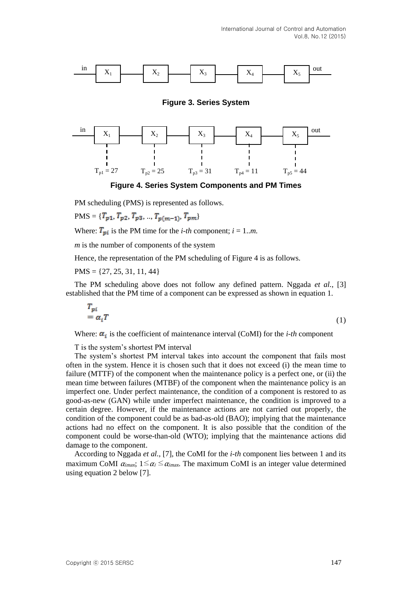

**Figure 3. Series System**



**Figure 4. Series System Components and PM Times**

PM scheduling (PMS) is represented as follows.

 $PMS = \{T_{p1}, T_{p2}, T_{p3}, ..., T_{p(m-1)}, T_{pm}\}$ 

Where:  $T_{pi}$  is the PM time for the *i-th* component;  $i = 1..m$ .

*m* is the number of components of the system

Hence, the representation of the PM scheduling of Figure 4 is as follows.

 $PMS = \{27, 25, 31, 11, 44\}$ 

The PM scheduling above does not follow any defined pattern. Nggada *et al.*, [3] established that the PM time of a component can be expressed as shown in equation 1.

$$
\begin{aligned} T_{pi} \\ &= \alpha_i T \end{aligned} \tag{1}
$$

Where:  $\alpha_i$  is the coefficient of maintenance interval (CoMI) for the *i-th* component

T is the system's shortest PM interval

The system's shortest PM interval takes into account the component that fails most often in the system. Hence it is chosen such that it does not exceed (i) the mean time to failure (MTTF) of the component when the maintenance policy is a perfect one, or (ii) the mean time between failures (MTBF) of the component when the maintenance policy is an imperfect one. Under perfect maintenance, the condition of a component is restored to as good-as-new (GAN) while under imperfect maintenance, the condition is improved to a certain degree. However, if the maintenance actions are not carried out properly, the condition of the component could be as bad-as-old (BAO); implying that the maintenance actions had no effect on the component. It is also possible that the condition of the component could be worse-than-old (WTO); implying that the maintenance actions did damage to the component.

According to Nggada *et al.*, [7], the CoMI for the *i-th* component lies between 1 and its maximum CoMI  $\alpha_{i\text{max}}$ ;  $1 \leq \alpha_i \leq \alpha_{i\text{max}}$ . The maximum CoMI is an integer value determined using equation 2 below [7].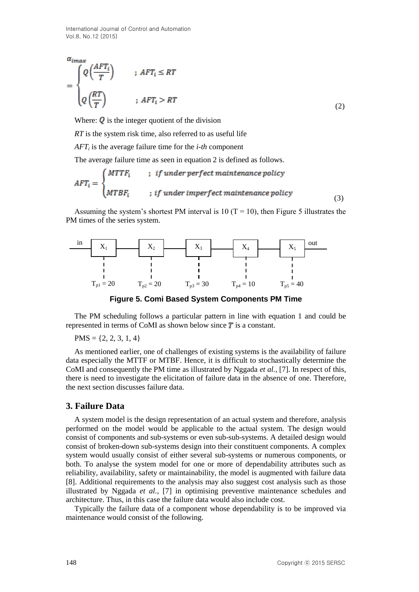International Journal of Control and Automation Vol.8, No.12 (2015)

$$
\alpha_{i\max} \newline \begin{cases}\n Q\left(\frac{AFT_i}{T}\right) & ; \ AFT_i \le RT \\
Q\left(\frac{RT}{T}\right) & ; \ AFT_i > RT\n\end{cases} \tag{2}
$$

Where:  $\dot{Q}$  is the integer quotient of the division

*RT* is the system risk time, also referred to as useful life

*AFT<sup>i</sup>* is the average failure time for the *i-th* component

The average failure time as seen in equation 2 is defined as follows.

$$
AFT_i = \begin{cases} MTTF_i & ; if under perfect maintenance policy \\ MTBF_i & ; if under imperfect maintenance policy \end{cases}
$$
(3)

Assuming the system's shortest PM interval is 10 ( $T = 10$ ), then Figure 5 illustrates the PM times of the series system.



**Figure 5. Comi Based System Components PM Time**

The PM scheduling follows a particular pattern in line with equation 1 and could be represented in terms of CoMI as shown below since  $\overline{T}$  is a constant.

 $PMS = \{2, 2, 3, 1, 4\}$ 

As mentioned earlier, one of challenges of existing systems is the availability of failure data especially the MTTF or MTBF. Hence, it is difficult to stochastically determine the CoMI and consequently the PM time as illustrated by Nggada *et al.*, [7]. In respect of this, there is need to investigate the elicitation of failure data in the absence of one. Therefore, the next section discusses failure data.

### **3. Failure Data**

A system model is the design representation of an actual system and therefore, analysis performed on the model would be applicable to the actual system. The design would consist of components and sub-systems or even sub-sub-systems. A detailed design would consist of broken-down sub-systems design into their constituent components. A complex system would usually consist of either several sub-systems or numerous components, or both. To analyse the system model for one or more of dependability attributes such as reliability, availability, safety or maintainability, the model is augmented with failure data [8]. Additional requirements to the analysis may also suggest cost analysis such as those illustrated by Nggada *et al.*, [7] in optimising preventive maintenance schedules and architecture. Thus, in this case the failure data would also include cost.

Typically the failure data of a component whose dependability is to be improved via maintenance would consist of the following.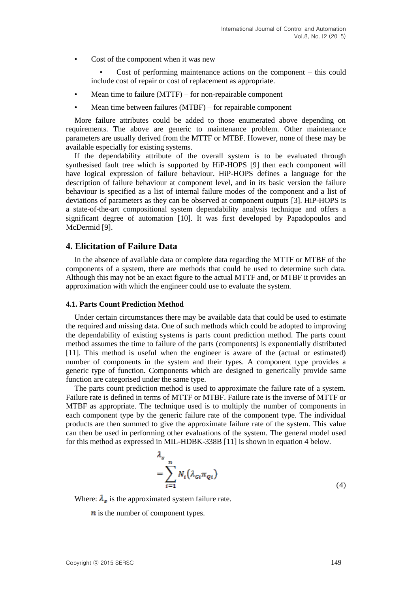• Cost of the component when it was new

Cost of performing maintenance actions on the component  $-$  this could include cost of repair or cost of replacement as appropriate.

- Mean time to failure  $(MTTF)$  for non-repairable component
- Mean time between failures (MTBF) for repairable component

More failure attributes could be added to those enumerated above depending on requirements. The above are generic to maintenance problem. Other maintenance parameters are usually derived from the MTTF or MTBF. However, none of these may be available especially for existing systems.

If the dependability attribute of the overall system is to be evaluated through synthesised fault tree which is supported by HiP-HOPS [9] then each component will have logical expression of failure behaviour. HiP-HOPS defines a language for the description of failure behaviour at component level, and in its basic version the failure behaviour is specified as a list of internal failure modes of the component and a list of deviations of parameters as they can be observed at component outputs [3]. HiP-HOPS is a state-of-the-art compositional system dependability analysis technique and offers a significant degree of automation [10]. It was first developed by Papadopoulos and McDermid [9].

## **4. Elicitation of Failure Data**

In the absence of available data or complete data regarding the MTTF or MTBF of the components of a system, there are methods that could be used to determine such data. Although this may not be an exact figure to the actual MTTF and, or MTBF it provides an approximation with which the engineer could use to evaluate the system.

#### **4.1. Parts Count Prediction Method**

Under certain circumstances there may be available data that could be used to estimate the required and missing data. One of such methods which could be adopted to improving the dependability of existing systems is parts count prediction method. The parts count method assumes the time to failure of the parts (components) is exponentially distributed [11]. This method is useful when the engineer is aware of the (actual or estimated) number of components in the system and their types. A component type provides a generic type of function. Components which are designed to generically provide same function are categorised under the same type.

The parts count prediction method is used to approximate the failure rate of a system. Failure rate is defined in terms of MTTF or MTBF. Failure rate is the inverse of MTTF or MTBF as appropriate. The technique used is to multiply the number of components in each component type by the generic failure rate of the component type. The individual products are then summed to give the approximate failure rate of the system. This value can then be used in performing other evaluations of the system. The general model used for this method as expressed in MIL-HDBK-338B [11] is shown in equation 4 below.

$$
\lambda_s
$$
  
= 
$$
\sum_{i=1}^n N_i (\lambda_{Gi} \pi_{Qi})
$$
 (4)

Where:  $\lambda_{\rm s}$  is the approximated system failure rate.

 $\boldsymbol{n}$  is the number of component types.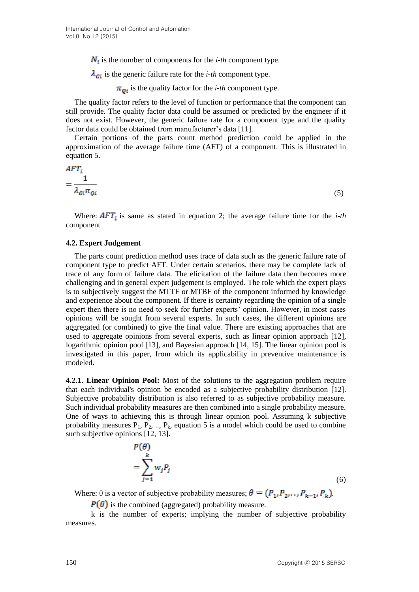$N_i$  is the number of components for the *i-th* component type.

 $\lambda_{Gi}$  is the generic failure rate for the *i-th* component type.

 $\pi_{oi}$  is the quality factor for the *i-th* component type.

The quality factor refers to the level of function or performance that the component can still provide. The quality factor data could be assumed or predicted by the engineer if it does not exist. However, the generic failure rate for a component type and the quality factor data could be obtained from manufacturer's data [11].

Certain portions of the parts count method prediction could be applied in the approximation of the average failure time (AFT) of a component. This is illustrated in equation 5.

$$
AFT_i
$$
  
=  $\frac{1}{\lambda_{Gi}\pi_{Qi}}$  (5)

Where:  $\overline{AFT_i}$  is same as stated in equation 2; the average failure time for the *i-th* component

#### **4.2. Expert Judgement**

The parts count prediction method uses trace of data such as the generic failure rate of component type to predict AFT. Under certain scenarios, there may be complete lack of trace of any form of failure data. The elicitation of the failure data then becomes more challenging and in general expert judgement is employed. The role which the expert plays is to subjectively suggest the MTTF or MTBF of the component informed by knowledge and experience about the component. If there is certainty regarding the opinion of a single expert then there is no need to seek for further experts' opinion. However, in most cases opinions will be sought from several experts. In such cases, the different opinions are aggregated (or combined) to give the final value. There are existing approaches that are used to aggregate opinions from several experts, such as linear opinion approach [12], logarithmic opinion pool [13], and Bayesian approach [14, 15]. The linear opinion pool is investigated in this paper, from which its applicability in preventive maintenance is modeled.

**4.2.1. Linear Opinion Pool:** Most of the solutions to the aggregation problem require that each individual's opinion be encoded as a subjective probability distribution [12]. Subjective probability distribution is also referred to as subjective probability measure. Such individual probability measures are then combined into a single probability measure. One of ways to achieving this is through linear opinion pool. Assuming k subjective probability measures  $P_1$ ,  $P_2$ , ..,  $P_k$ , equation 5 is a model which could be used to combine such subjective opinions [12, 13].

$$
P(\theta)
$$
  
=  $\sum_{j=1}^{k} w_j P_j$ 

(6)

Where:  $\theta$  is a vector of subjective probability measures;  $\theta = (P_1, P_2, \dots, P_{k-1}, P_k)$ .

 $P(\theta)$  is the combined (aggregated) probability measure.

k is the number of experts; implying the number of subjective probability measures.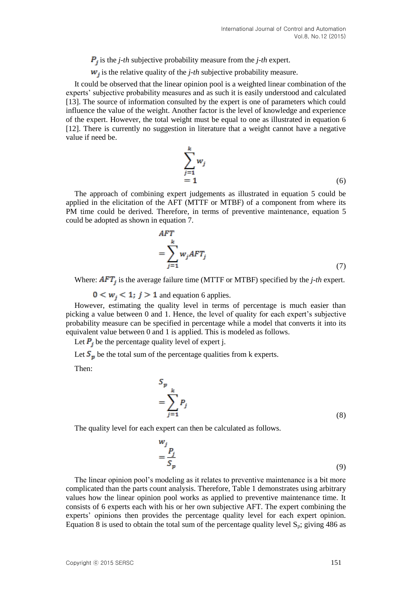$\mathbf{P}_i$  is the *j-th* subjective probability measure from the *j-th* expert.

 $w_i$  is the relative quality of the *j-th* subjective probability measure.

It could be observed that the linear opinion pool is a weighted linear combination of the experts' subjective probability measures and as such it is easily understood and calculated [13]. The source of information consulted by the expert is one of parameters which could influence the value of the weight. Another factor is the level of knowledge and experience of the expert. However, the total weight must be equal to one as illustrated in equation 6 [12]. There is currently no suggestion in literature that a weight cannot have a negative value if need be.

$$
\sum_{j=1}^{k} w_j
$$
  
= 1 (6)

The approach of combining expert judgements as illustrated in equation 5 could be applied in the elicitation of the AFT (MTTF or MTBF) of a component from where its PM time could be derived. Therefore, in terms of preventive maintenance, equation 5 could be adopted as shown in equation 7.

$$
AFT
$$
  
= 
$$
\sum_{j=1}^{k} w_j AFT_j
$$
 (7)

Where:  $\overline{AFT_i}$  is the average failure time (MTTF or MTBF) specified by the *j*-th expert.

 $0 \lt w_j \lt 1$ ;  $j > 1$  and equation 6 applies.

However, estimating the quality level in terms of percentage is much easier than picking a value between 0 and 1. Hence, the level of quality for each expert's subjective probability measure can be specified in percentage while a model that converts it into its equivalent value between 0 and 1 is applied. This is modeled as follows.

Let  $P_i$  be the percentage quality level of expert j.

Let  $S_p$  be the total sum of the percentage qualities from k experts.

Then:

$$
S_p
$$
  
= 
$$
\sum_{j=1}^{k} P_j
$$
 (8)

The quality level for each expert can then be calculated as follows.

$$
\frac{w_j}{S_p} = \frac{P_j}{S_p} \tag{9}
$$

The linear opinion pool's modeling as it relates to preventive maintenance is a bit more complicated than the parts count analysis. Therefore, Table 1 demonstrates using arbitrary values how the linear opinion pool works as applied to preventive maintenance time. It consists of 6 experts each with his or her own subjective AFT. The expert combining the experts' opinions then provides the percentage quality level for each expert opinion. Equation 8 is used to obtain the total sum of the percentage quality level  $S_p$ ; giving 486 as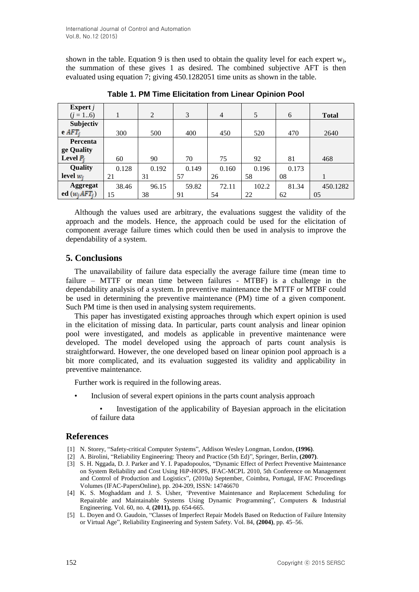shown in the table. Equation 9 is then used to obtain the quality level for each expert  $w_j$ , the summation of these gives 1 as desired. The combined subjective AFT is then evaluated using equation 7; giving 450.1282051 time units as shown in the table.

| Expert $j$       |       |                |       |                |       |       |              |
|------------------|-------|----------------|-------|----------------|-------|-------|--------------|
| $(j = 16)$       |       | $\overline{2}$ | 3     | $\overline{4}$ | 5     | 6     | <b>Total</b> |
| Subjectiv        |       |                |       |                |       |       |              |
| $e$ $AFT_i$      | 300   | 500            | 400   | 450            | 520   | 470   | 2640         |
| Percenta         |       |                |       |                |       |       |              |
| ge Quality       |       |                |       |                |       |       |              |
| Level $P_i$      | 60    | 90             | 70    | 75             | 92    | 81    | 468          |
| Quality          | 0.128 | 0.192          | 0.149 | 0.160          | 0.196 | 0.173 |              |
| level $w_i$      | 21    | 31             | 57    | 26             | 58    | 08    |              |
| <b>Aggregat</b>  | 38.46 | 96.15          | 59.82 | 72.11          | 102.2 | 81.34 | 450.1282     |
| ed $(w_i AFT_i)$ | 15    | 38             | 91    | 54             | 22    | 62    | 05           |

**Table 1. PM Time Elicitation from Linear Opinion Pool**

Although the values used are arbitrary, the evaluations suggest the validity of the approach and the models. Hence, the approach could be used for the elicitation of component average failure times which could then be used in analysis to improve the dependability of a system.

# **5. Conclusions**

The unavailability of failure data especially the average failure time (mean time to failure – MTTF or mean time between failures - MTBF) is a challenge in the dependability analysis of a system. In preventive maintenance the MTTF or MTBF could be used in determining the preventive maintenance (PM) time of a given component. Such PM time is then used in analysing system requirements.

This paper has investigated existing approaches through which expert opinion is used in the elicitation of missing data. In particular, parts count analysis and linear opinion pool were investigated, and models as applicable in preventive maintenance were developed. The model developed using the approach of parts count analysis is straightforward. However, the one developed based on linear opinion pool approach is a bit more complicated, and its evaluation suggested its validity and applicability in preventive maintenance.

Further work is required in the following areas.

- Inclusion of several expert opinions in the parts count analysis approach
	- Investigation of the applicability of Bayesian approach in the elicitation of failure data

## **References**

- [1] N. Storey, "Safety-critical Computer Systems", Addison Wesley Longman, London, **(1996)**.
- [2] A. Birolini, "Reliability Engineering: Theory and Practice (5th Ed)", Springer, Berlin, **(2007)**.
- [3] S. H. Nggada, D. J. Parker and Y. I. Papadopoulos, "Dynamic Effect of Perfect Preventive Maintenance on System Reliability and Cost Using HiP-HOPS, IFAC-MCPL 2010, 5th Conference on Management and Control of Production and Logistics", (2010a) September, Coimbra, Portugal, IFAC Proceedings Volumes (IFAC-PapersOnline), pp. 204-209, ISSN: 14746670
- [4] K. S. Moghaddam and J. S. Usher, 'Preventive Maintenance and Replacement Scheduling for Repairable and Maintainable Systems Using Dynamic Programming", Computers & Industrial Engineering. Vol. 60, no. 4, **(2011),** pp. 654-665.
- [5] L. Doyen and O. Gaudoin, "Classes of Imperfect Repair Models Based on Reduction of Failure Intensity or Virtual Age", Reliability Engineering and System Safety. Vol. 84, **(2004)**, pp. 45–56.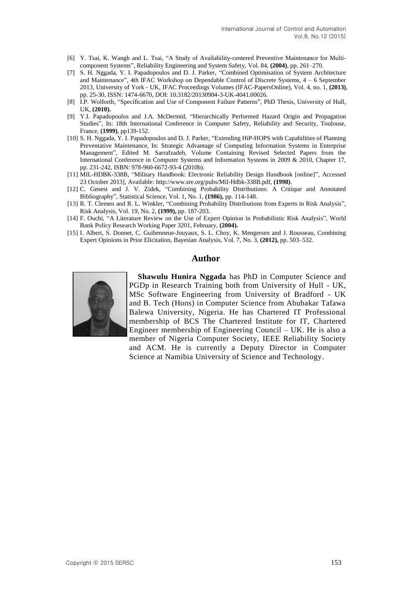- [6] Y. Tsai, K. Wangb and L. Tsai, "A Study of Availability-centered Preventive Maintenance for Multicomponent Systems", Reliability Engineering and System Safety, Vol. 84, **(2004)**, pp. 261–270.
- [7] S. H. Nggada, Y. I. Papadopoulos and D. J. Parker, "Combined Optimisation of System Architecture and Maintenance", 4th IFAC Workshop on Dependable Control of Discrete Systems, 4 – 6 September 2013, University of York - UK, IFAC Proceedings Volumes (IFAC-PapersOnline), Vol. 4, no. 1, **(2013)**, pp. 25-30, ISSN: 1474-6670, DOI: 10.3182/20130904-3-UK-4041.00026.
- [8] I.P. Wolforth, "Specification and Use of Component Failure Patterns", PhD Thesis, University of Hull, UK, **(2010).**
- [9] Y.I. Papadopoulos and J.A. McDermid, "Hierarchically Performed Hazard Origin and Propagation Studies", In: 18th International Conference in Computer Safety, Reliability and Security, Toulouse, France, **(1999)**, pp139-152.
- [10] S. H. Nggada, Y. I. Papadopoulos and D. J. Parker, "Extending HiP-HOPS with Capabilities of Planning Preventative Maintenance, In: Strategic Advantage of Computing Information Systems in Enterprise Management", Edited M. Sarrafzadeh, Volume Containing Revised Selected Papers from the International Conference in Computer Systems and Information Systems in 2009 & 2010, Chapter 17, pp. 231-242, ISBN: 978-960-6672-93-4 (2010b).
- [11] MIL-HDBK-338B, "Military Handbook: Electronic Reliability Design Handbook [online]", Accessed 23 October 2013], Available[: http://www.sre.org/pubs/Mil-Hdbk-338B.pdf,](http://www.sre.org/pubs/Mil-Hdbk-338B.pdf) **(1998)**.
- [12] C. Genest and J. V. Zidek, "Combining Probability Distributions: A Critique and Annotated Bibliography", Statistical Science, Vol. 1, No. 1, **(1986),** pp. 114-148.
- [13] R. T. Clemen and R. L. Winkler, "Combining Probability Distributions from Experts in Risk Analysis", Risk Analysis, Vol. 19, No. 2, **(1999),** pp. 187-203.
- [14] F. Ouchi, "A Literature Review on the Use of Expert Opinion in Probabilistic Risk Analysis", World Bank Policy Research Working Paper 3201, February, **(2004).**
- [15] I. Albert, S. Donnet, C. Guihenneue-Jouyaux, S. L. Choy, K. Mengersen and J. Rousseau, Combining Expert Opinions in Prior Elicitation, Bayesian Analysis, Vol. 7, No. 3, **(2012),** pp. 503–532.

#### **Author**



**Shawulu Hunira Nggada** has PhD in Computer Science and PGDp in Research Training both from University of Hull - UK, MSc Software Engineering from University of Bradford - UK and B. Tech (Hons) in Computer Science from Abubakar Tafawa Balewa University, Nigeria. He has Chartered IT Professional membership of BCS The Chartered Institute for IT, Chartered Engineer membership of Engineering Council – UK. He is also a member of Nigeria Computer Society, IEEE Reliability Society and ACM. He is currently a Deputy Director in Computer Science at Namibia University of Science and Technology.